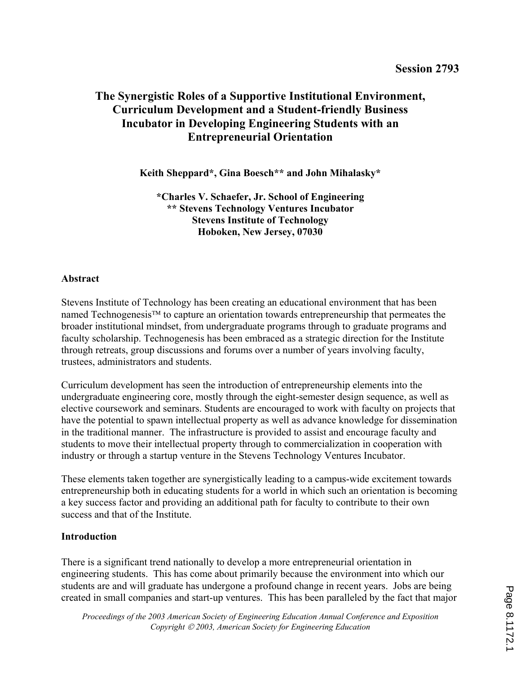# **The Synergistic Roles of a Supportive Institutional Environment, Curriculum Development and a Student-friendly Business Incubator in Developing Engineering Students with an Entrepreneurial Orientation**

**Keith Sheppard\*, Gina Boesch\*\* and John Mihalasky\*** 

**\*Charles V. Schaefer, Jr. School of Engineering \*\* Stevens Technology Ventures Incubator Stevens Institute of Technology Hoboken, New Jersey, 07030**

### **Abstract**

Stevens Institute of Technology has been creating an educational environment that has been named Technogenesis™ to capture an orientation towards entrepreneurship that permeates the broader institutional mindset, from undergraduate programs through to graduate programs and faculty scholarship. Technogenesis has been embraced as a strategic direction for the Institute through retreats, group discussions and forums over a number of years involving faculty, trustees, administrators and students.

Curriculum development has seen the introduction of entrepreneurship elements into the undergraduate engineering core, mostly through the eight-semester design sequence, as well as elective coursework and seminars. Students are encouraged to work with faculty on projects that have the potential to spawn intellectual property as well as advance knowledge for dissemination in the traditional manner. The infrastructure is provided to assist and encourage faculty and students to move their intellectual property through to commercialization in cooperation with industry or through a startup venture in the Stevens Technology Ventures Incubator.

These elements taken together are synergistically leading to a campus-wide excitement towards entrepreneurship both in educating students for a world in which such an orientation is becoming a key success factor and providing an additional path for faculty to contribute to their own success and that of the Institute.

### **Introduction**

There is a significant trend nationally to develop a more entrepreneurial orientation in engineering students. This has come about primarily because the environment into which our students are and will graduate has undergone a profound change in recent years. Jobs are being created in small companies and start-up ventures. This has been paralleled by the fact that major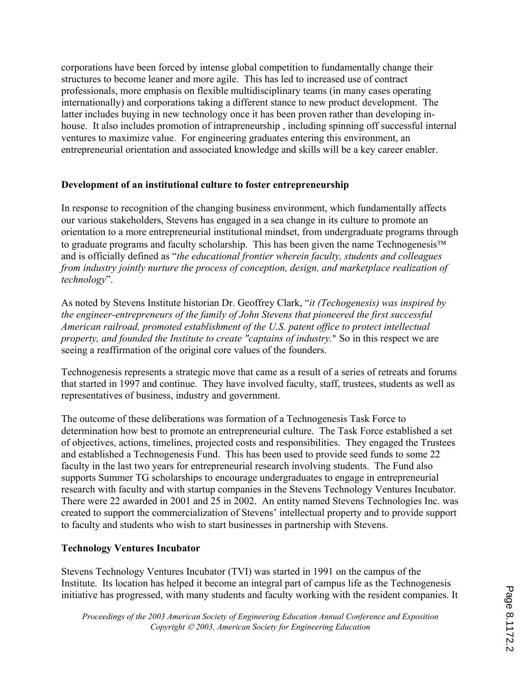corporations have been forced by intense global competition to fundamentally change their structures to become leaner and more agile. This has led to increased use of contract professionals, more emphasis on flexible multidisciplinary teams (in many cases operating internationally) and corporations taking a different stance to new product development. The latter includes buying in new technology once it has been proven rather than developing inhouse. It also includes promotion of intrapreneurship , including spinning off successful internal ventures to maximize value. For engineering graduates entering this environment, an entrepreneurial orientation and associated knowledge and skills will be a key career enabler.

### **Development of an institutional culture to foster entrepreneurship**

In response to recognition of the changing business environment, which fundamentally affects our various stakeholders, Stevens has engaged in a sea change in its culture to promote an orientation to a more entrepreneurial institutional mindset, from undergraduate programs through to graduate programs and faculty scholarship. This has been given the name Technogenesis™ and is officially defined as "*the educational frontier wherein faculty, students and colleagues from industry jointly nurture the process of conception, design, and marketplace realization of technology*".

As noted by Stevens Institute historian Dr. Geoffrey Clark, "*it (Techogenesis) was inspired by the engineer-entrepreneurs of the family of John Stevens that pioneered the first successful American railroad, promoted establishment of the U.S. patent office to protect intellectual property, and founded the Institute to create "captains of industry.*" So in this respect we are seeing a reaffirmation of the original core values of the founders.

Technogenesis represents a strategic move that came as a result of a series of retreats and forums that started in 1997 and continue. They have involved faculty, staff, trustees, students as well as representatives of business, industry and government.

The outcome of these deliberations was formation of a Technogenesis Task Force to determination how best to promote an entrepreneurial culture. The Task Force established a set of objectives, actions, timelines, projected costs and responsibilities. They engaged the Trustees and established a Technogenesis Fund. This has been used to provide seed funds to some 22 faculty in the last two years for entrepreneurial research involving students. The Fund also supports Summer TG scholarships to encourage undergraduates to engage in entrepreneurial research with faculty and with startup companies in the Stevens Technology Ventures Incubator. There were 22 awarded in 2001 and 25 in 2002. An entity named Stevens Technologies Inc. was created to support the commercialization of Stevens' intellectual property and to provide support to faculty and students who wish to start businesses in partnership with Stevens.

### **Technology Ventures Incubator**

Stevens Technology Ventures Incubator (TVI) was started in 1991 on the campus of the Institute. Its location has helped it become an integral part of campus life as the Technogenesis initiative has progressed, with many students and faculty working with the resident companies. It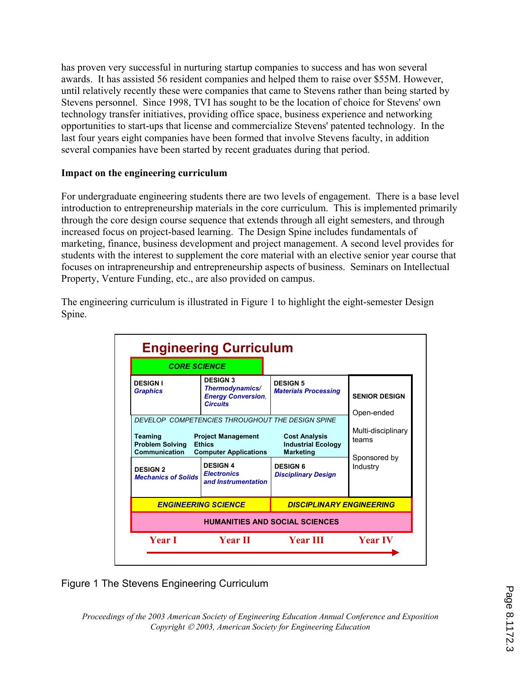has proven very successful in nurturing startup companies to success and has won several awards. It has assisted 56 resident companies and helped them to raise over \$55M. However, until relatively recently these were companies that came to Stevens rather than being started by Stevens personnel. Since 1998, TVI has sought to be the location of choice for Stevens' own technology transfer initiatives, providing office space, business experience and networking opportunities to start-ups that license and commercialize Stevens' patented technology. In the last four years eight companies have been formed that involve Stevens faculty, in addition several companies have been started by recent graduates during that period.

### **Impact on the engineering curriculum**

For undergraduate engineering students there are two levels of engagement. There is a base level introduction to entrepreneurship materials in the core curriculum. This is implemented primarily through the core design course sequence that extends through all eight semesters, and through increased focus on project-based learning. The Design Spine includes fundamentals of marketing, finance, business development and project management. A second level provides for students with the interest to supplement the core material with an elective senior year course that focuses on intrapreneurship and entrepreneurship aspects of business. Seminars on Intellectual Property, Venture Funding, etc., are also provided on campus.

The engineering curriculum is illustrated in Figure 1 to highlight the eight-semester Design Spine.

| <b>CORE SCIENCE</b>                                |                                                                                    |                                                                       |                                                         |
|----------------------------------------------------|------------------------------------------------------------------------------------|-----------------------------------------------------------------------|---------------------------------------------------------|
| <b>DESIGN I</b><br><b>Graphics</b>                 | <b>DESIGN 3</b><br>Thermodynamics/<br><b>Energy Conversion,</b><br><b>Circuits</b> | <b>DESIGN 5</b><br><b>Materials Processing</b>                        | <b>SENIOR DESIGN</b><br>Open-ended                      |
| DEVELOP COMPETENCIES THROUGHOUT THE DESIGN SPINE   |                                                                                    |                                                                       |                                                         |
| Teaming<br><b>Problem Solving</b><br>Communication | <b>Project Management</b><br><b>Ethics</b><br><b>Computer Applications</b>         | <b>Cost Analysis</b><br><b>Industrial Ecology</b><br><b>Marketing</b> | Multi-disciplinary<br>teams<br>Sponsored by<br>Industry |
| <b>DESIGN 2</b><br><b>Mechanics of Solids</b>      | <b>DESIGN 4</b><br><b>Electronics</b><br>and Instrumentation                       | <b>DESIGN 6</b><br><b>Disciplinary Design</b>                         |                                                         |
| <b>ENGINEERING SCIENCE</b>                         |                                                                                    | <b>DISCIPLINARY ENGINEERING</b>                                       |                                                         |
|                                                    |                                                                                    | <b>HUMANITIES AND SOCIAL SCIENCES</b>                                 |                                                         |
|                                                    |                                                                                    |                                                                       |                                                         |

Figure 1 The Stevens Engineering Curriculum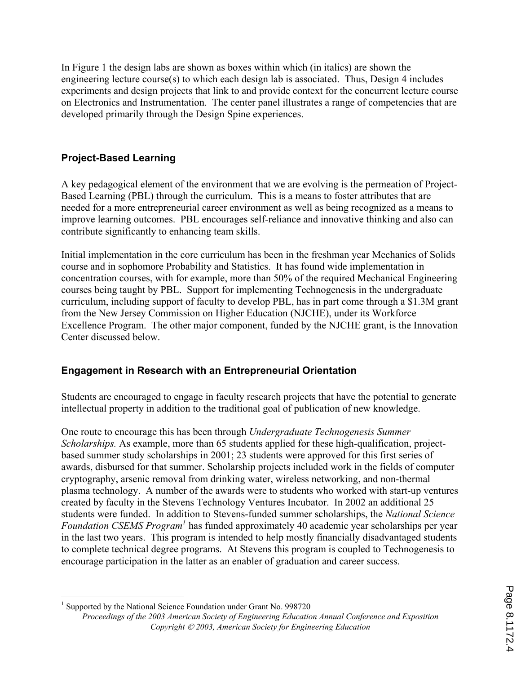In Figure 1 the design labs are shown as boxes within which (in italics) are shown the engineering lecture course(s) to which each design lab is associated. Thus, Design 4 includes experiments and design projects that link to and provide context for the concurrent lecture course on Electronics and Instrumentation. The center panel illustrates a range of competencies that are developed primarily through the Design Spine experiences.

# **Project-Based Learning**

A key pedagogical element of the environment that we are evolving is the permeation of Project-Based Learning (PBL) through the curriculum. This is a means to foster attributes that are needed for a more entrepreneurial career environment as well as being recognized as a means to improve learning outcomes. PBL encourages self-reliance and innovative thinking and also can contribute significantly to enhancing team skills.

Initial implementation in the core curriculum has been in the freshman year Mechanics of Solids course and in sophomore Probability and Statistics. It has found wide implementation in concentration courses, with for example, more than 50% of the required Mechanical Engineering courses being taught by PBL. Support for implementing Technogenesis in the undergraduate curriculum, including support of faculty to develop PBL, has in part come through a \$1.3M grant from the New Jersey Commission on Higher Education (NJCHE), under its Workforce Excellence Program. The other major component, funded by the NJCHE grant, is the Innovation Center discussed below.

### **Engagement in Research with an Entrepreneurial Orientation**

Students are encouraged to engage in faculty research projects that have the potential to generate intellectual property in addition to the traditional goal of publication of new knowledge.

One route to encourage this has been through *Undergraduate Technogenesis Summer Scholarships.* As example, more than 65 students applied for these high-qualification, projectbased summer study scholarships in 2001; 23 students were approved for this first series of awards, disbursed for that summer. Scholarship projects included work in the fields of computer cryptography, arsenic removal from drinking water, wireless networking, and non-thermal plasma technology. A number of the awards were to students who worked with start-up ventures created by faculty in the Stevens Technology Ventures Incubator. In 2002 an additional 25 students were funded. In addition to Stevens-funded summer scholarships, the *National Science*  Foundation CSEMS Program<sup>1</sup> has funded approximately 40 academic year scholarships per year in the last two years. This program is intended to help mostly financially disadvantaged students to complete technical degree programs. At Stevens this program is coupled to Technogenesis to encourage participation in the latter as an enabler of graduation and career success.

<u>.</u>

<sup>&</sup>lt;sup>1</sup> Supported by the National Science Foundation under Grant No. 998720

*Proceedings of the 2003 American Society of Engineering Education Annual Conference and Exposition Copyright* © *2003, American Society for Engineering Education*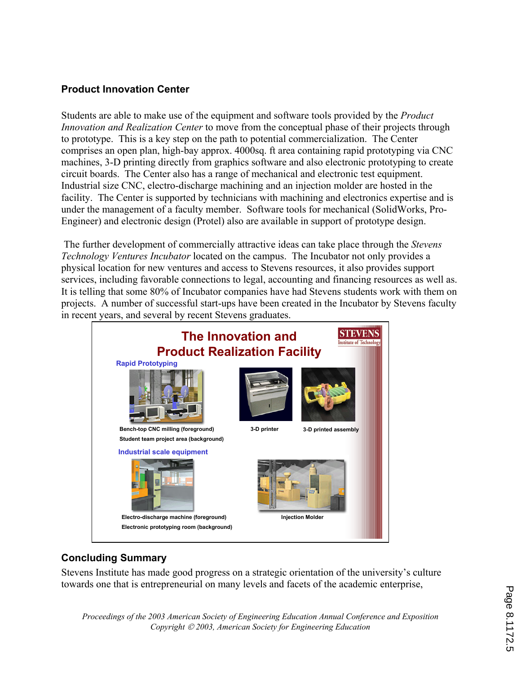### **Product Innovation Center**

Students are able to make use of the equipment and software tools provided by the *Product Innovation and Realization Center* to move from the conceptual phase of their projects through to prototype. This is a key step on the path to potential commercialization. The Center comprises an open plan, high-bay approx. 4000sq. ft area containing rapid prototyping via CNC machines, 3-D printing directly from graphics software and also electronic prototyping to create circuit boards. The Center also has a range of mechanical and electronic test equipment. Industrial size CNC, electro-discharge machining and an injection molder are hosted in the facility. The Center is supported by technicians with machining and electronics expertise and is under the management of a faculty member. Software tools for mechanical (SolidWorks, Pro-Engineer) and electronic design (Protel) also are available in support of prototype design.

 The further development of commercially attractive ideas can take place through the *Stevens Technology Ventures Incubator* located on the campus. The Incubator not only provides a physical location for new ventures and access to Stevens resources, it also provides support services, including favorable connections to legal, accounting and financing resources as well as. It is telling that some 80% of Incubator companies have had Stevens students work with them on projects. A number of successful start-ups have been created in the Incubator by Stevens faculty in recent years, and several by recent Stevens graduates.



# **Concluding Summary**

Stevens Institute has made good progress on a strategic orientation of the university's culture towards one that is entrepreneurial on many levels and facets of the academic enterprise,